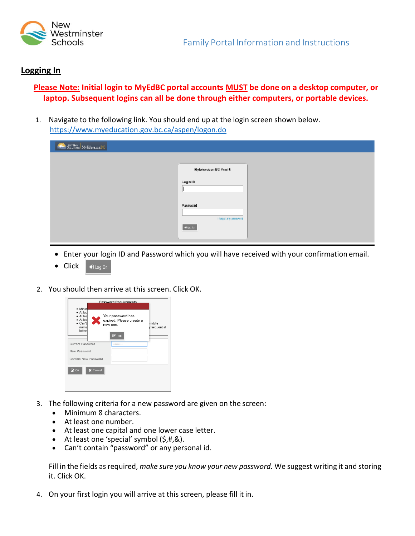

## **Logging In**

## **Please Note: Initial login to MyEdBC portal accounts MUST be done on a desktop computer, or laptop. Subsequent logins can all be done through either computers, or portable devices.**

1. Navigate to the following link. You should end up at the login screen shown below. [https://ww](http://www.myeducation.gov.bc.ca/aspen/logon.do)w.my[education.gov.bc.ca/aspen/logon.do](http://www.myeducation.gov.bc.ca/aspen/logon.do)

| <b>BERRY AND ARRIVED</b> |                                            |  |
|--------------------------|--------------------------------------------|--|
|                          |                                            |  |
|                          | Nybravation BC Prodit                      |  |
|                          | Login ID<br>н                              |  |
|                          |                                            |  |
|                          | Password<br><b>Digitality assessed</b>     |  |
|                          | $\Theta(\mathbf{L}_\mathrm{R},\mathbf{L})$ |  |
|                          |                                            |  |

- Enter your login ID and Password which you will have received with your confirmation email.
- Click  $\bigtriangledown$  Log On
- 2. You should then arrive at this screen. Click OK.



- 3. The following criteria for a new password are given on the screen:
	- Minimum 8 characters.
	- At least one number.
	- At least one capital and one lower case letter.<br>• At least one 'special' symbol  $(S, \# R)$ .
	- At least one 'special' symbol (\$,#,&).
	- Can't contain "password" or any personal id.

Fill in the fields as required, *make sure you know your new password.* We suggest writing it and storing it. Click OK.

4. On your first login you will arrive at this screen, please fill it in.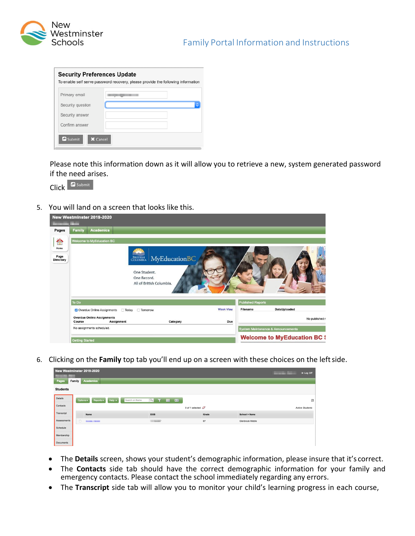

| <b>Security Preferences Update</b> | To enable self serve password recovery, please provide the following information |
|------------------------------------|----------------------------------------------------------------------------------|
| Primary email                      |                                                                                  |
| Security question                  | ¢                                                                                |
| Security answer                    |                                                                                  |
| Confirm answer                     |                                                                                  |
| Submit<br>X Cancel                 |                                                                                  |

Please note this information down as it will allow you to retrieve a new, system generated password if the need arises.

Click **C** Submit

5. You will land on a screen that looks like this.

|                                         |                           | New Westminster 2019-2020                              |                             |                                                          |                                    |                          |                                     |                |
|-----------------------------------------|---------------------------|--------------------------------------------------------|-----------------------------|----------------------------------------------------------|------------------------------------|--------------------------|-------------------------------------|----------------|
| Pages                                   | <b>Family</b>             | <b>Academics</b>                                       |                             |                                                          |                                    |                          |                                     |                |
| $\hat{\ }$<br>Home<br>Page<br>Directory |                           | Welcome to MyEducation BC                              | One Student.<br>One Record. | <b>BRITISH MyEducationBC</b><br>All of British Columbia. |                                    |                          |                                     |                |
|                                         | To Do                     |                                                        |                             |                                                          |                                    | <b>Published Reports</b> |                                     |                |
|                                         |                           | Overdue Online Assignments                             | Today<br>Tomorrow           |                                                          | <b>Week View</b>                   | Filename                 | DateUploaded                        |                |
|                                         | Course                    | <b>Overdue Online Assignments</b><br><b>Assignment</b> |                             | Category                                                 | Due                                |                          |                                     | No published r |
|                                         | No assignments scheduled. |                                                        |                             |                                                          | System Maintenance & Announcements |                          |                                     |                |
|                                         | <b>Getting Started</b>    |                                                        |                             |                                                          |                                    |                          | <b>Welcome to MyEducation BC \$</b> |                |

6. Clicking on the **Family** top tab you'll end up on a screen with these choices on the leftside.

|                 | New Westminster 2019-2020                                                             |                                                   |       |                  | De Log Off<br>and the state of<br>- |
|-----------------|---------------------------------------------------------------------------------------|---------------------------------------------------|-------|------------------|-------------------------------------|
| Pages           | <b>Academics</b><br>Family                                                            |                                                   |       |                  |                                     |
| <b>Students</b> |                                                                                       |                                                   |       |                  |                                     |
| Details         | Search on Name<br>Options $\overline{\mathbf{v}}$<br>$Heip -$<br>Reports $\mathbf{v}$ | $\alpha$<br><b>THE</b><br>$\mathbf{r}$<br>$a - z$ |       |                  | 因                                   |
| Contacts        |                                                                                       | 0 of 1 selected $\oslash$                         |       |                  | <b>Active Students</b>              |
| Transcript      | Name                                                                                  | DOB                                               | Grade | School > Name    |                                     |
| Assessments     | $\hfill\square$<br><b>Service Color</b>                                               | <b>COMMERCIAL</b>                                 | 07    | Glenbrook Middle |                                     |
| Schedule        |                                                                                       |                                                   |       |                  |                                     |
| Membership      |                                                                                       |                                                   |       |                  |                                     |
| Documents       |                                                                                       |                                                   |       |                  |                                     |

- The **Details** screen, shows your student's demographic information, please insure that it's correct.
- The **Contacts** side tab should have the correct demographic information for your family and emergency contacts. Please contact the school immediately regarding any errors.
- The **Transcript** side tab will allow you to monitor your child's learning progress in each course,